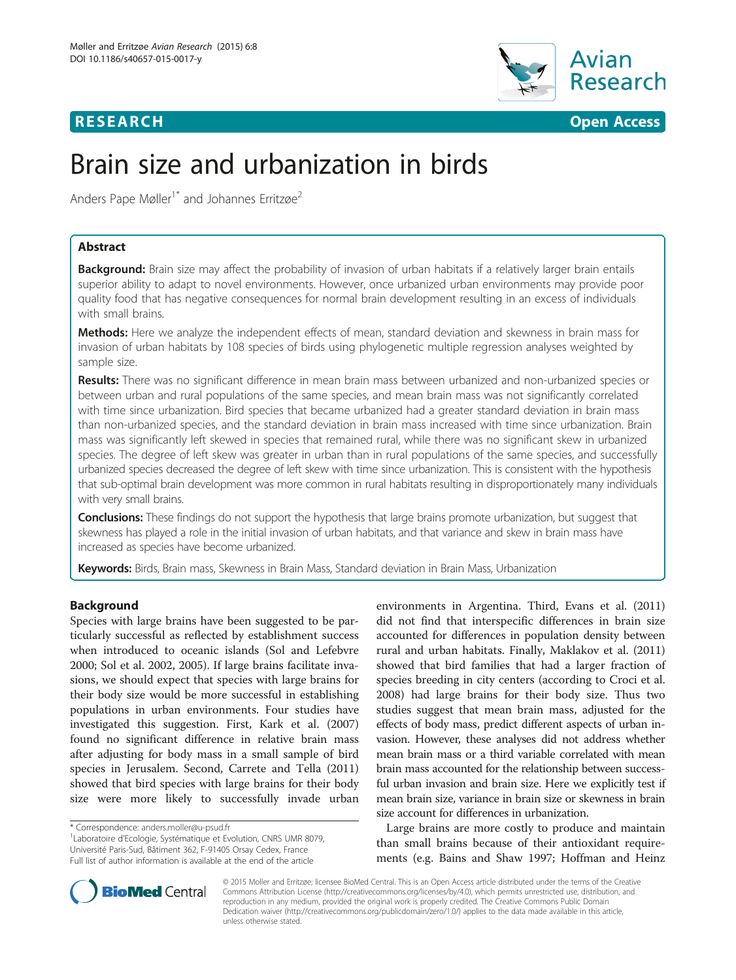## **RESEARCH CHINESE ARCH CHINESE ARCHITECT ARCHITECT ARCHITECT ARCHITECT ARCHITECT ARCHITECT ARCHITECT ARCHITECT ARCHITECT ARCHITECT ARCHITECT ARCHITECT ARCHITECT ARCHITECT ARCHITECT ARCHITECT ARCHITECT ARCHITECT ARCHITE**



# Brain size and urbanization in birds

Anders Pape Møller<sup>1\*</sup> and Johannes Erritzøe<sup>2</sup>

## Abstract

Background: Brain size may affect the probability of invasion of urban habitats if a relatively larger brain entails superior ability to adapt to novel environments. However, once urbanized urban environments may provide poor quality food that has negative consequences for normal brain development resulting in an excess of individuals with small brains.

Methods: Here we analyze the independent effects of mean, standard deviation and skewness in brain mass for invasion of urban habitats by 108 species of birds using phylogenetic multiple regression analyses weighted by sample size.

Results: There was no significant difference in mean brain mass between urbanized and non-urbanized species or between urban and rural populations of the same species, and mean brain mass was not significantly correlated with time since urbanization. Bird species that became urbanized had a greater standard deviation in brain mass than non-urbanized species, and the standard deviation in brain mass increased with time since urbanization. Brain mass was significantly left skewed in species that remained rural, while there was no significant skew in urbanized species. The degree of left skew was greater in urban than in rural populations of the same species, and successfully urbanized species decreased the degree of left skew with time since urbanization. This is consistent with the hypothesis that sub-optimal brain development was more common in rural habitats resulting in disproportionately many individuals with very small brains.

Conclusions: These findings do not support the hypothesis that large brains promote urbanization, but suggest that skewness has played a role in the initial invasion of urban habitats, and that variance and skew in brain mass have increased as species have become urbanized.

Keywords: Birds, Brain mass, Skewness in Brain Mass, Standard deviation in Brain Mass, Urbanization

## Background

Species with large brains have been suggested to be particularly successful as reflected by establishment success when introduced to oceanic islands (Sol and Lefebvre [2000](#page-6-0); Sol et al. [2002, 2005](#page-6-0)). If large brains facilitate invasions, we should expect that species with large brains for their body size would be more successful in establishing populations in urban environments. Four studies have investigated this suggestion. First, Kark et al. ([2007](#page-6-0)) found no significant difference in relative brain mass after adjusting for body mass in a small sample of bird species in Jerusalem. Second, Carrete and Tella ([2011](#page-6-0)) showed that bird species with large brains for their body size were more likely to successfully invade urban

Laboratoire d'Ecologie, Systématique et Evolution, CNRS UMR 8079, Université Paris-Sud, Bâtiment 362, F-91405 Orsay Cedex, France Full list of author information is available at the end of the article

environments in Argentina. Third, Evans et al. ([2011](#page-6-0)) did not find that interspecific differences in brain size accounted for differences in population density between rural and urban habitats. Finally, Maklakov et al. ([2011](#page-6-0)) showed that bird families that had a larger fraction of species breeding in city centers (according to Croci et al. [2008](#page-6-0)) had large brains for their body size. Thus two studies suggest that mean brain mass, adjusted for the effects of body mass, predict different aspects of urban invasion. However, these analyses did not address whether mean brain mass or a third variable correlated with mean brain mass accounted for the relationship between successful urban invasion and brain size. Here we explicitly test if mean brain size, variance in brain size or skewness in brain size account for differences in urbanization.

Large brains are more costly to produce and maintain than small brains because of their antioxidant requirements (e.g. Bains and Shaw [1997](#page-6-0); Hoffman and Heinz



© 2015 Moller and Erritzøe; licensee BioMed Central. This is an Open Access article distributed under the terms of the Creative Commons Attribution License [\(http://creativecommons.org/licenses/by/4.0\)](http://creativecommons.org/licenses/by/4.0), which permits unrestricted use, distribution, and reproduction in any medium, provided the original work is properly credited. The Creative Commons Public Domain Dedication waiver [\(http://creativecommons.org/publicdomain/zero/1.0/](http://creativecommons.org/publicdomain/zero/1.0/)) applies to the data made available in this article, unless otherwise stated.

<sup>\*</sup> Correspondence: [anders.moller@u-psud.fr](mailto:anders.moller@u-psud.fr) <sup>1</sup>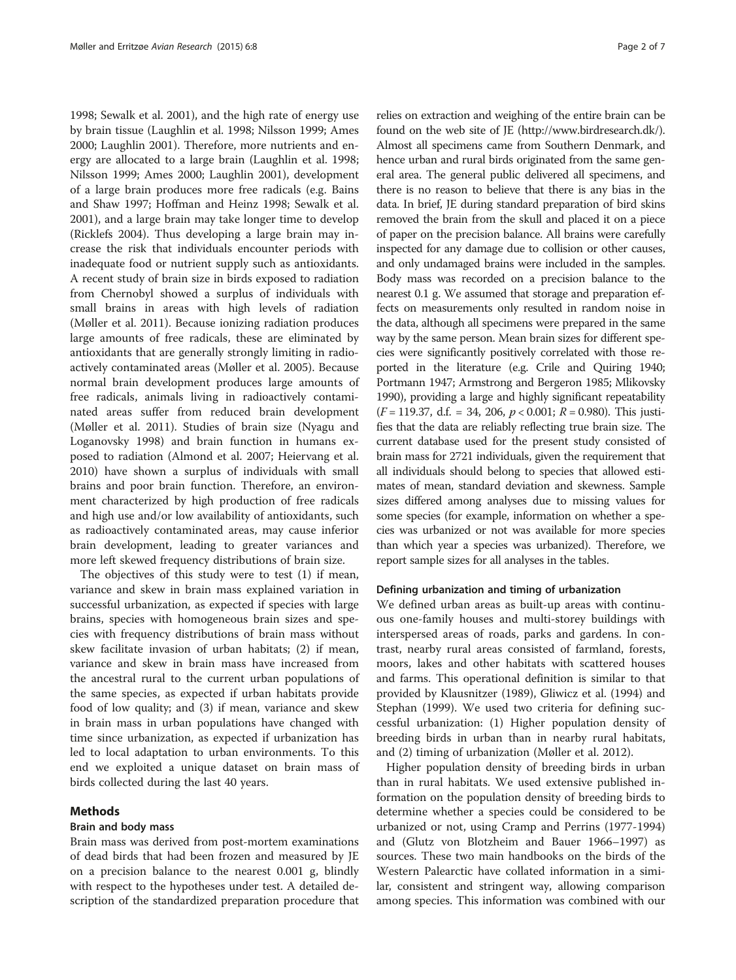<span id="page-1-0"></span>[1998](#page-6-0); Sewalk et al. [2001\)](#page-6-0), and the high rate of energy use by brain tissue (Laughlin et al. [1998;](#page-6-0) Nilsson [1999](#page-6-0); Ames [2000](#page-5-0); Laughlin [2001](#page-6-0)). Therefore, more nutrients and energy are allocated to a large brain (Laughlin et al. [1998](#page-6-0); Nilsson [1999;](#page-6-0) Ames [2000](#page-5-0); Laughlin [2001\)](#page-6-0), development of a large brain produces more free radicals (e.g. Bains and Shaw [1997](#page-6-0); Hoffman and Heinz [1998;](#page-6-0) Sewalk et al. [2001](#page-6-0)), and a large brain may take longer time to develop (Ricklefs [2004](#page-6-0)). Thus developing a large brain may increase the risk that individuals encounter periods with inadequate food or nutrient supply such as antioxidants. A recent study of brain size in birds exposed to radiation from Chernobyl showed a surplus of individuals with small brains in areas with high levels of radiation (Møller et al. [2011](#page-6-0)). Because ionizing radiation produces large amounts of free radicals, these are eliminated by antioxidants that are generally strongly limiting in radioactively contaminated areas (Møller et al. [2005](#page-6-0)). Because normal brain development produces large amounts of free radicals, animals living in radioactively contaminated areas suffer from reduced brain development (Møller et al. [2011\)](#page-6-0). Studies of brain size (Nyagu and Loganovsky [1998\)](#page-6-0) and brain function in humans exposed to radiation (Almond et al. [2007](#page-5-0); Heiervang et al. [2010](#page-6-0)) have shown a surplus of individuals with small brains and poor brain function. Therefore, an environment characterized by high production of free radicals and high use and/or low availability of antioxidants, such as radioactively contaminated areas, may cause inferior brain development, leading to greater variances and more left skewed frequency distributions of brain size.

The objectives of this study were to test (1) if mean, variance and skew in brain mass explained variation in successful urbanization, as expected if species with large brains, species with homogeneous brain sizes and species with frequency distributions of brain mass without skew facilitate invasion of urban habitats; (2) if mean, variance and skew in brain mass have increased from the ancestral rural to the current urban populations of the same species, as expected if urban habitats provide food of low quality; and (3) if mean, variance and skew in brain mass in urban populations have changed with time since urbanization, as expected if urbanization has led to local adaptation to urban environments. To this end we exploited a unique dataset on brain mass of birds collected during the last 40 years.

#### Methods

## Brain and body mass

Brain mass was derived from post-mortem examinations of dead birds that had been frozen and measured by JE on a precision balance to the nearest 0.001 g, blindly with respect to the hypotheses under test. A detailed description of the standardized preparation procedure that

relies on extraction and weighing of the entire brain can be found on the web site of JE [\(http://www.birdresearch.dk/](http://www.birdresearch.dk/)). Almost all specimens came from Southern Denmark, and hence urban and rural birds originated from the same general area. The general public delivered all specimens, and there is no reason to believe that there is any bias in the data. In brief, JE during standard preparation of bird skins removed the brain from the skull and placed it on a piece of paper on the precision balance. All brains were carefully inspected for any damage due to collision or other causes, and only undamaged brains were included in the samples. Body mass was recorded on a precision balance to the nearest 0.1 g. We assumed that storage and preparation effects on measurements only resulted in random noise in the data, although all specimens were prepared in the same way by the same person. Mean brain sizes for different species were significantly positively correlated with those reported in the literature (e.g. Crile and Quiring [1940](#page-6-0); Portmann [1947](#page-6-0); Armstrong and Bergeron [1985](#page-5-0); Mlikovsky [1990\)](#page-6-0), providing a large and highly significant repeatability  $(F = 119.37, d.f. = 34, 206, p < 0.001; R = 0.980)$ . This justifies that the data are reliably reflecting true brain size. The current database used for the present study consisted of brain mass for 2721 individuals, given the requirement that all individuals should belong to species that allowed estimates of mean, standard deviation and skewness. Sample sizes differed among analyses due to missing values for some species (for example, information on whether a species was urbanized or not was available for more species than which year a species was urbanized). Therefore, we report sample sizes for all analyses in the tables.

#### Defining urbanization and timing of urbanization

We defined urban areas as built-up areas with continuous one-family houses and multi-storey buildings with interspersed areas of roads, parks and gardens. In contrast, nearby rural areas consisted of farmland, forests, moors, lakes and other habitats with scattered houses and farms. This operational definition is similar to that provided by Klausnitzer [\(1989\)](#page-6-0), Gliwicz et al. [\(1994](#page-6-0)) and Stephan [\(1999\)](#page-6-0). We used two criteria for defining successful urbanization: (1) Higher population density of breeding birds in urban than in nearby rural habitats, and (2) timing of urbanization (Møller et al. [2012\)](#page-6-0).

Higher population density of breeding birds in urban than in rural habitats. We used extensive published information on the population density of breeding birds to determine whether a species could be considered to be urbanized or not, using Cramp and Perrins ([1977](#page-6-0)-1994) and (Glutz von Blotzheim and Bauer [1966](#page-6-0)–1997) as sources. These two main handbooks on the birds of the Western Palearctic have collated information in a similar, consistent and stringent way, allowing comparison among species. This information was combined with our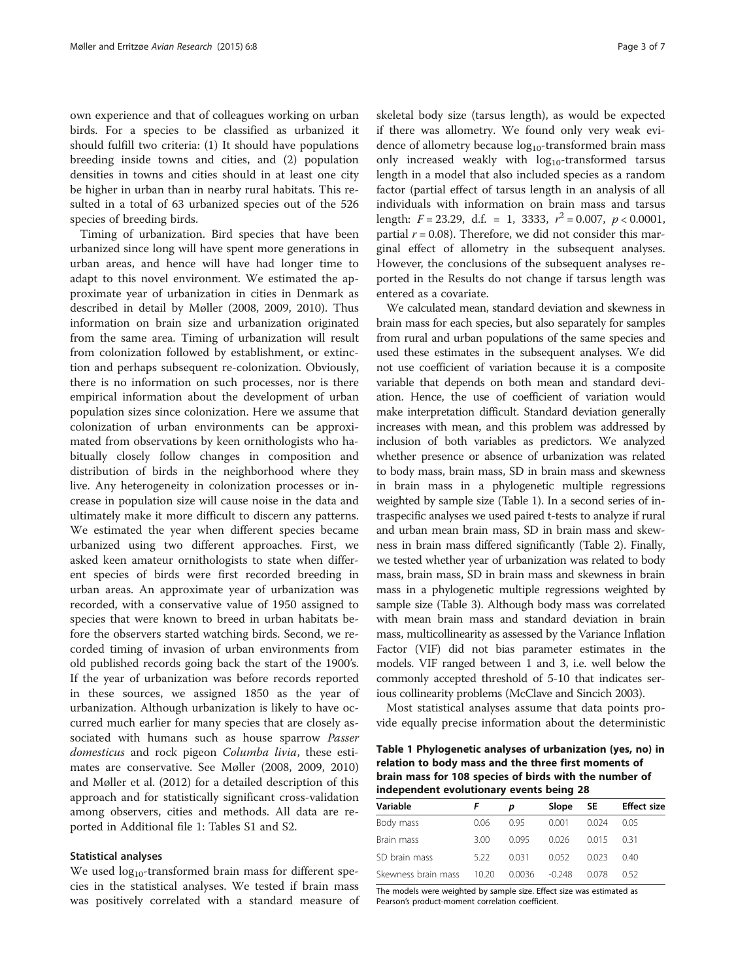<span id="page-2-0"></span>own experience and that of colleagues working on urban birds. For a species to be classified as urbanized it should fulfill two criteria: (1) It should have populations breeding inside towns and cities, and (2) population densities in towns and cities should in at least one city be higher in urban than in nearby rural habitats. This resulted in a total of 63 urbanized species out of the 526 species of breeding birds.

Timing of urbanization. Bird species that have been urbanized since long will have spent more generations in urban areas, and hence will have had longer time to adapt to this novel environment. We estimated the approximate year of urbanization in cities in Denmark as described in detail by Møller ([2008, 2009, 2010\)](#page-6-0). Thus information on brain size and urbanization originated from the same area. Timing of urbanization will result from colonization followed by establishment, or extinction and perhaps subsequent re-colonization. Obviously, there is no information on such processes, nor is there empirical information about the development of urban population sizes since colonization. Here we assume that colonization of urban environments can be approximated from observations by keen ornithologists who habitually closely follow changes in composition and distribution of birds in the neighborhood where they live. Any heterogeneity in colonization processes or increase in population size will cause noise in the data and ultimately make it more difficult to discern any patterns. We estimated the year when different species became urbanized using two different approaches. First, we asked keen amateur ornithologists to state when different species of birds were first recorded breeding in urban areas. An approximate year of urbanization was recorded, with a conservative value of 1950 assigned to species that were known to breed in urban habitats before the observers started watching birds. Second, we recorded timing of invasion of urban environments from old published records going back the start of the 1900's. If the year of urbanization was before records reported in these sources, we assigned 1850 as the year of urbanization. Although urbanization is likely to have occurred much earlier for many species that are closely associated with humans such as house sparrow Passer domesticus and rock pigeon Columba livia, these estimates are conservative. See Møller ([2008](#page-6-0), [2009, 2010](#page-6-0)) and Møller et al. ([2012\)](#page-6-0) for a detailed description of this approach and for statistically significant cross-validation among observers, cities and methods. All data are reported in Additional file [1:](#page-5-0) Tables S1 and S2.

#### Statistical analyses

We used  $log_{10}$ -transformed brain mass for different species in the statistical analyses. We tested if brain mass was positively correlated with a standard measure of

skeletal body size (tarsus length), as would be expected if there was allometry. We found only very weak evidence of allometry because  $log_{10}$ -transformed brain mass only increased weakly with  $log_{10}$ -transformed tarsus length in a model that also included species as a random factor (partial effect of tarsus length in an analysis of all individuals with information on brain mass and tarsus length:  $F = 23.29$ , d.f. = 1, 3333,  $r^2 = 0.007$ ,  $p < 0.0001$ , partial  $r = 0.08$ ). Therefore, we did not consider this marginal effect of allometry in the subsequent analyses. However, the conclusions of the subsequent analyses reported in the Results do not change if tarsus length was entered as a covariate.

We calculated mean, standard deviation and skewness in brain mass for each species, but also separately for samples from rural and urban populations of the same species and used these estimates in the subsequent analyses. We did not use coefficient of variation because it is a composite variable that depends on both mean and standard deviation. Hence, the use of coefficient of variation would make interpretation difficult. Standard deviation generally increases with mean, and this problem was addressed by inclusion of both variables as predictors. We analyzed whether presence or absence of urbanization was related to body mass, brain mass, SD in brain mass and skewness in brain mass in a phylogenetic multiple regressions weighted by sample size (Table 1). In a second series of intraspecific analyses we used paired t-tests to analyze if rural and urban mean brain mass, SD in brain mass and skewness in brain mass differed significantly (Table [2\)](#page-3-0). Finally, we tested whether year of urbanization was related to body mass, brain mass, SD in brain mass and skewness in brain mass in a phylogenetic multiple regressions weighted by sample size (Table [3](#page-3-0)). Although body mass was correlated with mean brain mass and standard deviation in brain mass, multicollinearity as assessed by the Variance Inflation Factor (VIF) did not bias parameter estimates in the models. VIF ranged between 1 and 3, i.e. well below the commonly accepted threshold of 5-10 that indicates serious collinearity problems (McClave and Sincich [2003](#page-6-0)).

Most statistical analyses assume that data points provide equally precise information about the deterministic

Table 1 Phylogenetic analyses of urbanization (yes, no) in relation to body mass and the three first moments of brain mass for 108 species of birds with the number of independent evolutionary events being 28

| Variable                  |      | D      | Slope    | <b>SE</b> | <b>Effect size</b> |
|---------------------------|------|--------|----------|-----------|--------------------|
| Body mass                 | 0.06 | 0.95   | 0.001    | 0.024     | 0.05               |
| Brain mass                | 3.00 | 0.095  | 0.026    | 0.015     | 031                |
| SD brain mass             | 5.22 | 0.031  | 0.052    | 0023      | 040                |
| Skewness brain mass 10.20 |      | 0.0036 | $-0.248$ | 0078      | 052                |

The models were weighted by sample size. Effect size was estimated as Pearson's product-moment correlation coefficient.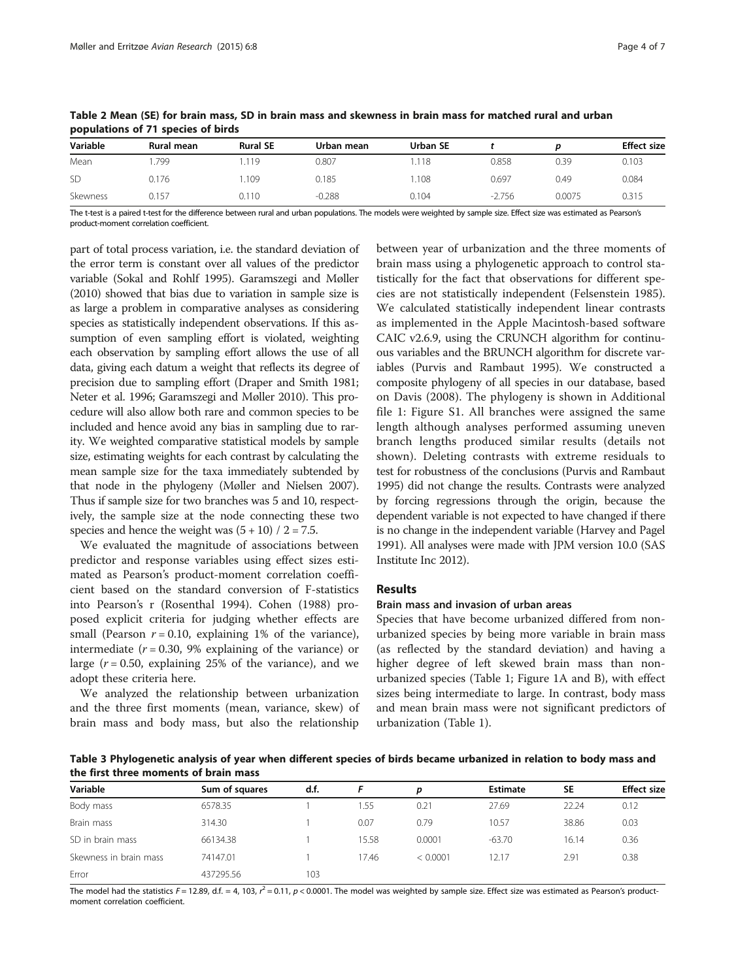| Variable  | Rural mean | <b>Rural SE</b> | Urban mean | Urban SE |          |        | <b>Effect size</b> |
|-----------|------------|-----------------|------------|----------|----------|--------|--------------------|
| Mean      | .799       | .119            | 0.807      | 1.118    | 0.858    | 0.39   | 0.103              |
| <b>SD</b> | 0.176      | .109            | 0.185      | 1.108    | 0.697    | 0.49   | 0.084              |
| Skewness  | 0.157      | 0.110           | $-0.288$   | 0.104    | $-2.756$ | 0.0075 | 0.315              |

<span id="page-3-0"></span>Table 2 Mean (SE) for brain mass, SD in brain mass and skewness in brain mass for matched rural and urban populations of 71 species of birds

The t-test is a paired t-test for the difference between rural and urban populations. The models were weighted by sample size. Effect size was estimated as Pearson's product-moment correlation coefficient.

part of total process variation, i.e. the standard deviation of the error term is constant over all values of the predictor variable (Sokal and Rohlf [1995](#page-6-0)). Garamszegi and Møller ([2010\)](#page-6-0) showed that bias due to variation in sample size is as large a problem in comparative analyses as considering species as statistically independent observations. If this assumption of even sampling effort is violated, weighting each observation by sampling effort allows the use of all data, giving each datum a weight that reflects its degree of precision due to sampling effort (Draper and Smith [1981](#page-6-0); Neter et al. [1996;](#page-6-0) Garamszegi and Møller [2010\)](#page-6-0). This procedure will also allow both rare and common species to be included and hence avoid any bias in sampling due to rarity. We weighted comparative statistical models by sample size, estimating weights for each contrast by calculating the mean sample size for the taxa immediately subtended by that node in the phylogeny (Møller and Nielsen [2007](#page-6-0)). Thus if sample size for two branches was 5 and 10, respectively, the sample size at the node connecting these two species and hence the weight was  $(5 + 10) / 2 = 7.5$ .

We evaluated the magnitude of associations between predictor and response variables using effect sizes estimated as Pearson's product-moment correlation coefficient based on the standard conversion of F-statistics into Pearson's r (Rosenthal [1994\)](#page-6-0). Cohen ([1988](#page-6-0)) proposed explicit criteria for judging whether effects are small (Pearson  $r = 0.10$ , explaining 1% of the variance), intermediate ( $r = 0.30$ , 9% explaining of the variance) or large  $(r = 0.50,$  explaining 25% of the variance), and we adopt these criteria here.

We analyzed the relationship between urbanization and the three first moments (mean, variance, skew) of brain mass and body mass, but also the relationship

between year of urbanization and the three moments of brain mass using a phylogenetic approach to control statistically for the fact that observations for different species are not statistically independent (Felsenstein [1985](#page-6-0)). We calculated statistically independent linear contrasts as implemented in the Apple Macintosh-based software CAIC v2.6.9, using the CRUNCH algorithm for continuous variables and the BRUNCH algorithm for discrete variables (Purvis and Rambaut [1995\)](#page-6-0). We constructed a composite phylogeny of all species in our database, based on Davis [\(2008](#page-6-0)). The phylogeny is shown in Additional file [1:](#page-5-0) Figure S1. All branches were assigned the same length although analyses performed assuming uneven branch lengths produced similar results (details not shown). Deleting contrasts with extreme residuals to test for robustness of the conclusions (Purvis and Rambaut [1995\)](#page-6-0) did not change the results. Contrasts were analyzed by forcing regressions through the origin, because the dependent variable is not expected to have changed if there is no change in the independent variable (Harvey and Pagel [1991\)](#page-6-0). All analyses were made with JPM version 10.0 (SAS Institute Inc [2012\)](#page-6-0).

## Results

#### Brain mass and invasion of urban areas

Species that have become urbanized differed from nonurbanized species by being more variable in brain mass (as reflected by the standard deviation) and having a higher degree of left skewed brain mass than nonurbanized species (Table [1;](#page-2-0) Figure [1A](#page-4-0) and B), with effect sizes being intermediate to large. In contrast, body mass and mean brain mass were not significant predictors of urbanization (Table [1](#page-2-0)).

Table 3 Phylogenetic analysis of year when different species of birds became urbanized in relation to body mass and the first three moments of brain mass

| Variable               | Sum of squares | d.f. |       |          | <b>Estimate</b> | <b>SE</b> | <b>Effect size</b> |
|------------------------|----------------|------|-------|----------|-----------------|-----------|--------------------|
| Body mass              | 6578.35        |      | 1.55  | 0.21     | 27.69           | 22.24     | 0.12               |
| Brain mass             | 314.30         |      | 0.07  | 0.79     | 10.57           | 38.86     | 0.03               |
| SD in brain mass       | 66134.38       |      | 15.58 | 0.0001   | $-63.70$        | 16.14     | 0.36               |
| Skewness in brain mass | 74147.01       |      | 17.46 | < 0.0001 | 12.17           | 2.91      | 0.38               |
| Error                  | 437295.56      | 103  |       |          |                 |           |                    |

The model had the statistics F = 12.89, d.f. = 4, 103,  $r^2$  = 0.11,  $p < 0.0001$ . The model was weighted by sample size. Effect size was estimated as Pearson's productmoment correlation coefficient.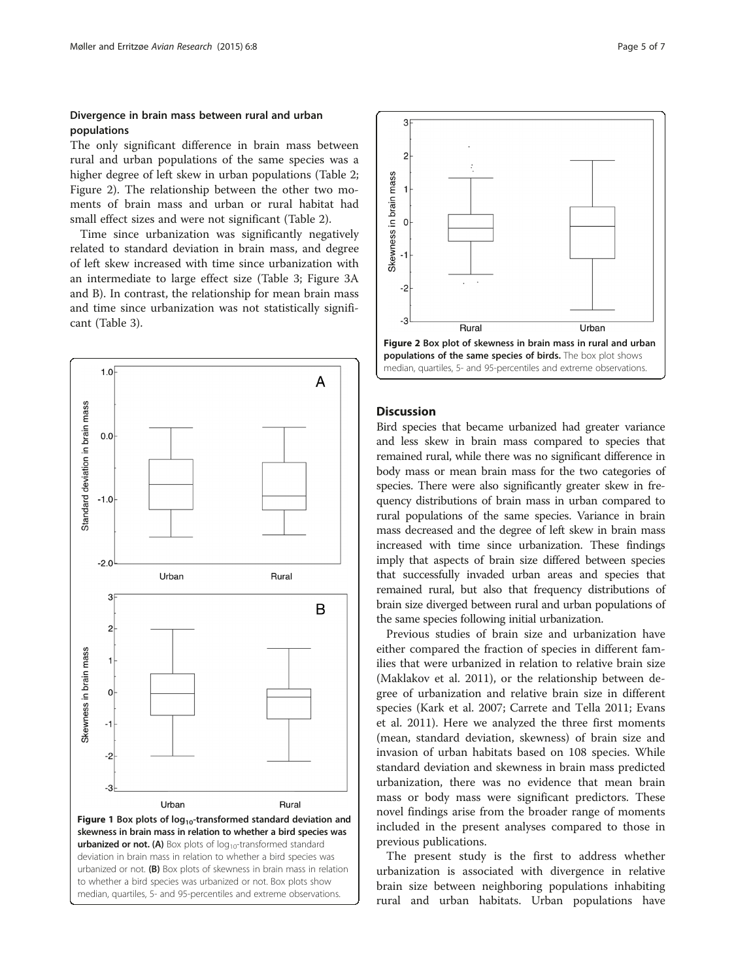## <span id="page-4-0"></span>Divergence in brain mass between rural and urban populations

The only significant difference in brain mass between rural and urban populations of the same species was a higher degree of left skew in urban populations (Table [2](#page-3-0); Figure 2). The relationship between the other two moments of brain mass and urban or rural habitat had small effect sizes and were not significant (Table [2](#page-3-0)).

Time since urbanization was significantly negatively related to standard deviation in brain mass, and degree of left skew increased with time since urbanization with an intermediate to large effect size (Table [3;](#page-3-0) Figure [3A](#page-5-0) and B). In contrast, the relationship for mean brain mass and time since urbanization was not statistically significant (Table [3](#page-3-0)).







## **Discussion**

3

 $\overline{2}$ 

 $\mathbf{1}$ 

 $\mathbf 0$ 

 $-1$ 

 $-2$ 

Skewness in brain mass

Bird species that became urbanized had greater variance and less skew in brain mass compared to species that remained rural, while there was no significant difference in body mass or mean brain mass for the two categories of species. There were also significantly greater skew in frequency distributions of brain mass in urban compared to rural populations of the same species. Variance in brain mass decreased and the degree of left skew in brain mass increased with time since urbanization. These findings imply that aspects of brain size differed between species that successfully invaded urban areas and species that remained rural, but also that frequency distributions of brain size diverged between rural and urban populations of the same species following initial urbanization.

Previous studies of brain size and urbanization have either compared the fraction of species in different families that were urbanized in relation to relative brain size (Maklakov et al. [2011](#page-6-0)), or the relationship between degree of urbanization and relative brain size in different species (Kark et al. [2007](#page-6-0); Carrete and Tella [2011](#page-6-0); Evans et al. [2011](#page-6-0)). Here we analyzed the three first moments (mean, standard deviation, skewness) of brain size and invasion of urban habitats based on 108 species. While standard deviation and skewness in brain mass predicted urbanization, there was no evidence that mean brain mass or body mass were significant predictors. These novel findings arise from the broader range of moments included in the present analyses compared to those in previous publications.

The present study is the first to address whether urbanization is associated with divergence in relative brain size between neighboring populations inhabiting rural and urban habitats. Urban populations have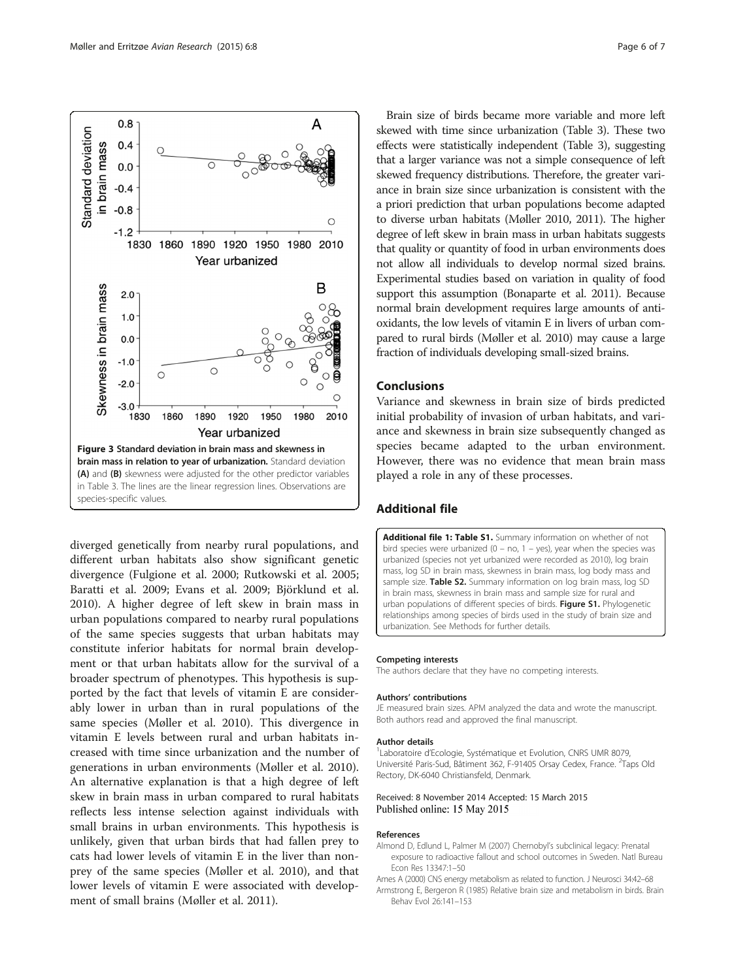<span id="page-5-0"></span>

diverged genetically from nearby rural populations, and different urban habitats also show significant genetic divergence (Fulgione et al. [2000](#page-6-0); Rutkowski et al. [2005](#page-6-0); Baratti et al. [2009](#page-6-0); Evans et al. [2009;](#page-6-0) Björklund et al. [2010](#page-6-0)). A higher degree of left skew in brain mass in urban populations compared to nearby rural populations of the same species suggests that urban habitats may constitute inferior habitats for normal brain development or that urban habitats allow for the survival of a broader spectrum of phenotypes. This hypothesis is supported by the fact that levels of vitamin E are considerably lower in urban than in rural populations of the same species (Møller et al. [2010\)](#page-6-0). This divergence in vitamin E levels between rural and urban habitats increased with time since urbanization and the number of generations in urban environments (Møller et al. [2010](#page-6-0)). An alternative explanation is that a high degree of left skew in brain mass in urban compared to rural habitats reflects less intense selection against individuals with small brains in urban environments. This hypothesis is unlikely, given that urban birds that had fallen prey to cats had lower levels of vitamin E in the liver than nonprey of the same species (Møller et al. [2010\)](#page-6-0), and that lower levels of vitamin E were associated with development of small brains (Møller et al. [2011\)](#page-6-0).

Brain size of birds became more variable and more left skewed with time since urbanization (Table [3](#page-3-0)). These two effects were statistically independent (Table [3\)](#page-3-0), suggesting that a larger variance was not a simple consequence of left skewed frequency distributions. Therefore, the greater variance in brain size since urbanization is consistent with the a priori prediction that urban populations become adapted to diverse urban habitats (Møller [2010, 2011](#page-6-0)). The higher degree of left skew in brain mass in urban habitats suggests that quality or quantity of food in urban environments does not allow all individuals to develop normal sized brains. Experimental studies based on variation in quality of food support this assumption (Bonaparte et al. [2011\)](#page-6-0). Because normal brain development requires large amounts of antioxidants, the low levels of vitamin E in livers of urban compared to rural birds (Møller et al. [2010\)](#page-6-0) may cause a large fraction of individuals developing small-sized brains.

#### Conclusions

Variance and skewness in brain size of birds predicted initial probability of invasion of urban habitats, and variance and skewness in brain size subsequently changed as species became adapted to the urban environment. However, there was no evidence that mean brain mass played a role in any of these processes.

## Additional file

[Additional file 1: Table S1.](http://www.avianres.com/content/supplementary/s40657-015-0017-y-s1.doc) Summary information on whether of not bird species were urbanized (0 – no, 1 – yes), year when the species was urbanized (species not yet urbanized were recorded as 2010), log brain mass, log SD in brain mass, skewness in brain mass, log body mass and sample size. Table S2. Summary information on log brain mass, log SD in brain mass, skewness in brain mass and sample size for rural and urban populations of different species of birds. Figure S1. Phylogenetic relationships among species of birds used in the study of brain size and urbanization. See [Methods](#page-1-0) for further details.

#### Competing interests

The authors declare that they have no competing interests.

#### Authors' contributions

JE measured brain sizes. APM analyzed the data and wrote the manuscript. Both authors read and approved the final manuscript.

#### Author details

<sup>1</sup> Laboratoire d'Ecologie, Systématique et Evolution, CNRS UMR 8079 Université Paris-Sud, Bâtiment 362, F-91405 Orsay Cedex, France. <sup>2</sup>Taps Old Rectory, DK-6040 Christiansfeld, Denmark.

#### Received: 8 November 2014 Accepted: 15 March 2015 Published online: 15 May 2015

#### References

- Almond D, Edlund L, Palmer M (2007) Chernobyl's subclinical legacy: Prenatal exposure to radioactive fallout and school outcomes in Sweden. Natl Bureau Econ Res 13347:1–50
- Ames A (2000) CNS energy metabolism as related to function. J Neurosci 34:42–68 Armstrong E, Bergeron R (1985) Relative brain size and metabolism in birds. Brain Behav Evol 26:141–153